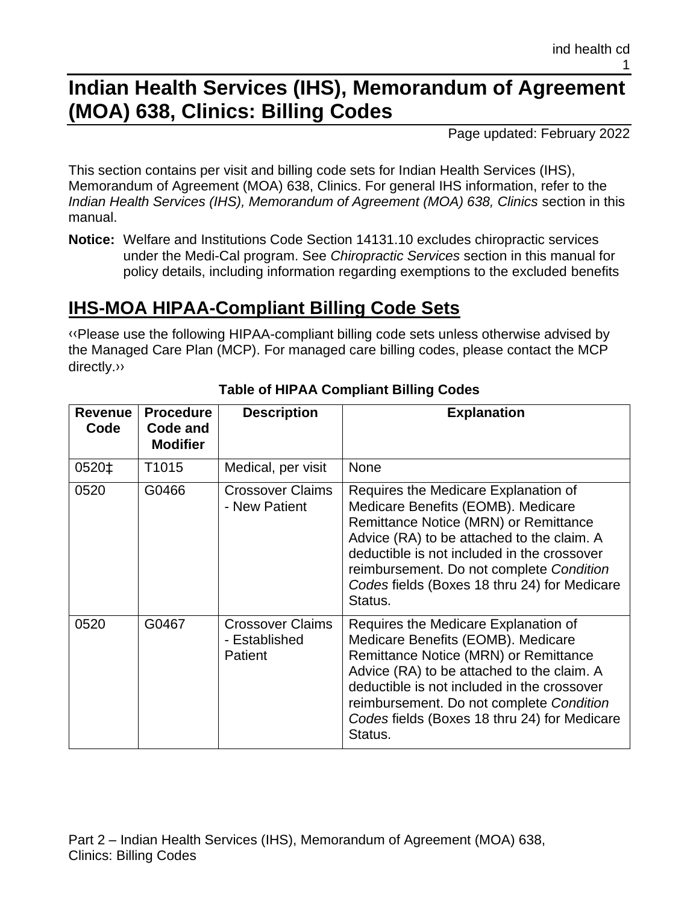# **Indian Health Services (IHS), Memorandum of Agreement (MOA) 638, Clinics: Billing Codes**

Page updated: February 2022

This section contains per visit and billing code sets for Indian Health Services (IHS), Memorandum of Agreement (MOA) 638, Clinics. For general IHS information, refer to the *Indian Health Services (IHS), Memorandum of Agreement (MOA) 638, Clinics* section in this manual.

**Notice:** Welfare and Institutions Code Section 14131.10 excludes chiropractic services under the Medi-Cal program. See *Chiropractic Services* section in this manual for policy details, including information regarding exemptions to the excluded benefits

# **IHS-MOA HIPAA-Compliant Billing Code Sets**

[‹‹P](#page-15-0)lease use the following HIPAA-compliant billing code sets unless otherwise advised by the Managed Care Plan (MCP). For managed care billing codes, please contact the MCP directly[.››](#page-15-1)

| <b>Revenue</b><br>Code | <b>Procedure</b><br>Code and<br><b>Modifier</b> | <b>Description</b>                                  | <b>Explanation</b>                                                                                                                                                                                                                                                                                                      |
|------------------------|-------------------------------------------------|-----------------------------------------------------|-------------------------------------------------------------------------------------------------------------------------------------------------------------------------------------------------------------------------------------------------------------------------------------------------------------------------|
| 0520‡                  | T <sub>1015</sub>                               | Medical, per visit                                  | <b>None</b>                                                                                                                                                                                                                                                                                                             |
| 0520                   | G0466                                           | <b>Crossover Claims</b><br>- New Patient            | Requires the Medicare Explanation of<br>Medicare Benefits (EOMB). Medicare<br>Remittance Notice (MRN) or Remittance<br>Advice (RA) to be attached to the claim. A<br>deductible is not included in the crossover<br>reimbursement. Do not complete Condition<br>Codes fields (Boxes 18 thru 24) for Medicare<br>Status. |
| 0520                   | G0467                                           | <b>Crossover Claims</b><br>- Established<br>Patient | Requires the Medicare Explanation of<br>Medicare Benefits (EOMB). Medicare<br>Remittance Notice (MRN) or Remittance<br>Advice (RA) to be attached to the claim. A<br>deductible is not included in the crossover<br>reimbursement. Do not complete Condition<br>Codes fields (Boxes 18 thru 24) for Medicare<br>Status. |

#### **Table of HIPAA Compliant Billing Codes**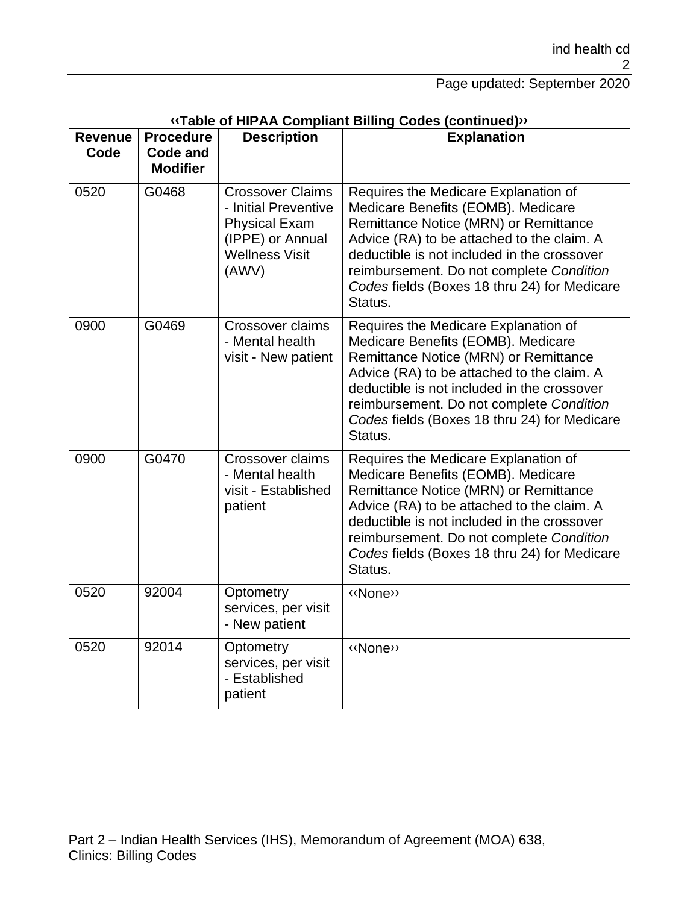| Revenue<br>Code | <b>Procedure</b><br><b>Code and</b><br><b>Modifier</b> | <b>Description</b>                                                                                                            | <b>Explanation</b>                                                                                                                                                                                                                                                                                                      |
|-----------------|--------------------------------------------------------|-------------------------------------------------------------------------------------------------------------------------------|-------------------------------------------------------------------------------------------------------------------------------------------------------------------------------------------------------------------------------------------------------------------------------------------------------------------------|
| 0520            | G0468                                                  | <b>Crossover Claims</b><br>- Initial Preventive<br><b>Physical Exam</b><br>(IPPE) or Annual<br><b>Wellness Visit</b><br>(AWV) | Requires the Medicare Explanation of<br>Medicare Benefits (EOMB). Medicare<br>Remittance Notice (MRN) or Remittance<br>Advice (RA) to be attached to the claim. A<br>deductible is not included in the crossover<br>reimbursement. Do not complete Condition<br>Codes fields (Boxes 18 thru 24) for Medicare<br>Status. |
| 0900            | G0469                                                  | Crossover claims<br>- Mental health<br>visit - New patient                                                                    | Requires the Medicare Explanation of<br>Medicare Benefits (EOMB). Medicare<br>Remittance Notice (MRN) or Remittance<br>Advice (RA) to be attached to the claim. A<br>deductible is not included in the crossover<br>reimbursement. Do not complete Condition<br>Codes fields (Boxes 18 thru 24) for Medicare<br>Status. |
| 0900            | G0470                                                  | Crossover claims<br>- Mental health<br>visit - Established<br>patient                                                         | Requires the Medicare Explanation of<br>Medicare Benefits (EOMB). Medicare<br>Remittance Notice (MRN) or Remittance<br>Advice (RA) to be attached to the claim. A<br>deductible is not included in the crossover<br>reimbursement. Do not complete Condition<br>Codes fields (Boxes 18 thru 24) for Medicare<br>Status. |
| 0520            | 92004                                                  | Optometry<br>services, per visit<br>- New patient                                                                             | «None»                                                                                                                                                                                                                                                                                                                  |
| 0520            | 92014                                                  | Optometry<br>services, per visit<br>- Established<br>patient                                                                  | «None»                                                                                                                                                                                                                                                                                                                  |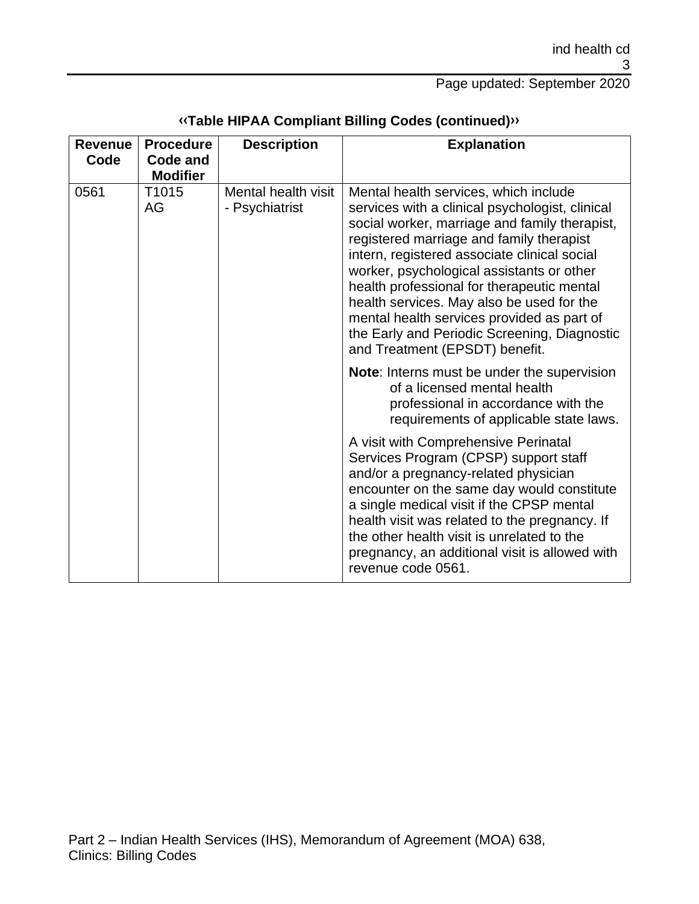| <b>Revenue</b><br>Code | <b>Procedure</b><br><b>Code and</b><br><b>Modifier</b> | <b>Description</b>                    | <b>Explanation</b>                                                                                                                                                                                                                                                                                                                                                                                                                                                                                            |
|------------------------|--------------------------------------------------------|---------------------------------------|---------------------------------------------------------------------------------------------------------------------------------------------------------------------------------------------------------------------------------------------------------------------------------------------------------------------------------------------------------------------------------------------------------------------------------------------------------------------------------------------------------------|
| 0561                   | T1015<br>AG                                            | Mental health visit<br>- Psychiatrist | Mental health services, which include<br>services with a clinical psychologist, clinical<br>social worker, marriage and family therapist,<br>registered marriage and family therapist<br>intern, registered associate clinical social<br>worker, psychological assistants or other<br>health professional for therapeutic mental<br>health services. May also be used for the<br>mental health services provided as part of<br>the Early and Periodic Screening, Diagnostic<br>and Treatment (EPSDT) benefit. |
|                        |                                                        |                                       | <b>Note:</b> Interns must be under the supervision<br>of a licensed mental health<br>professional in accordance with the<br>requirements of applicable state laws.                                                                                                                                                                                                                                                                                                                                            |
|                        |                                                        |                                       | A visit with Comprehensive Perinatal<br>Services Program (CPSP) support staff<br>and/or a pregnancy-related physician<br>encounter on the same day would constitute<br>a single medical visit if the CPSP mental<br>health visit was related to the pregnancy. If<br>the other health visit is unrelated to the<br>pregnancy, an additional visit is allowed with<br>revenue code 0561.                                                                                                                       |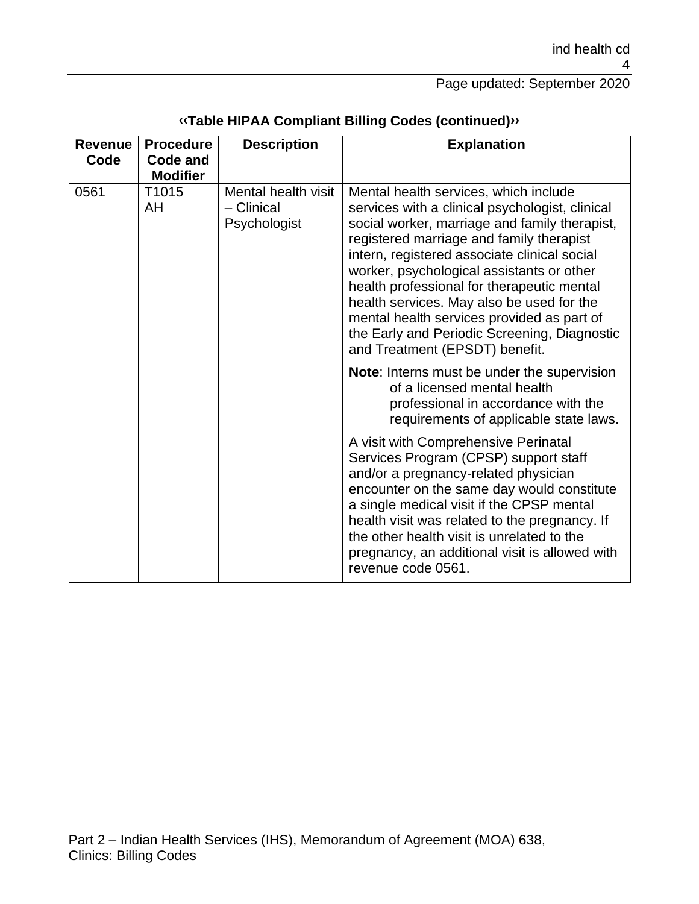| <b>Revenue</b><br>Code | <b>Procedure</b><br><b>Code and</b><br><b>Modifier</b> | <b>Description</b>                                | <b>Explanation</b>                                                                                                                                                                                                                                                                                                                                                                                                                                                                                            |
|------------------------|--------------------------------------------------------|---------------------------------------------------|---------------------------------------------------------------------------------------------------------------------------------------------------------------------------------------------------------------------------------------------------------------------------------------------------------------------------------------------------------------------------------------------------------------------------------------------------------------------------------------------------------------|
| 0561                   | T <sub>1015</sub><br>AH                                | Mental health visit<br>- Clinical<br>Psychologist | Mental health services, which include<br>services with a clinical psychologist, clinical<br>social worker, marriage and family therapist,<br>registered marriage and family therapist<br>intern, registered associate clinical social<br>worker, psychological assistants or other<br>health professional for therapeutic mental<br>health services. May also be used for the<br>mental health services provided as part of<br>the Early and Periodic Screening, Diagnostic<br>and Treatment (EPSDT) benefit. |
|                        |                                                        |                                                   | <b>Note:</b> Interns must be under the supervision<br>of a licensed mental health<br>professional in accordance with the<br>requirements of applicable state laws.                                                                                                                                                                                                                                                                                                                                            |
|                        |                                                        |                                                   | A visit with Comprehensive Perinatal<br>Services Program (CPSP) support staff<br>and/or a pregnancy-related physician<br>encounter on the same day would constitute<br>a single medical visit if the CPSP mental<br>health visit was related to the pregnancy. If<br>the other health visit is unrelated to the<br>pregnancy, an additional visit is allowed with<br>revenue code 0561.                                                                                                                       |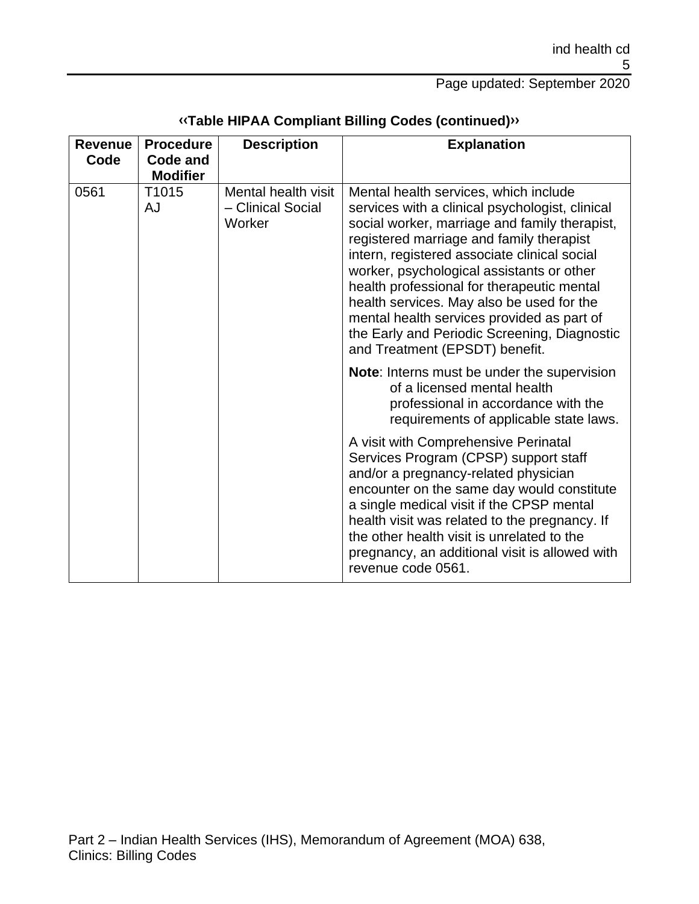| <b>Revenue</b><br>Code | <b>Procedure</b><br>Code and<br><b>Modifier</b> | <b>Description</b>                                 | <b>Explanation</b>                                                                                                                                                                                                                                                                                                                                                                                                                                                                                            |
|------------------------|-------------------------------------------------|----------------------------------------------------|---------------------------------------------------------------------------------------------------------------------------------------------------------------------------------------------------------------------------------------------------------------------------------------------------------------------------------------------------------------------------------------------------------------------------------------------------------------------------------------------------------------|
| 0561                   | T1015<br>AJ                                     | Mental health visit<br>- Clinical Social<br>Worker | Mental health services, which include<br>services with a clinical psychologist, clinical<br>social worker, marriage and family therapist,<br>registered marriage and family therapist<br>intern, registered associate clinical social<br>worker, psychological assistants or other<br>health professional for therapeutic mental<br>health services. May also be used for the<br>mental health services provided as part of<br>the Early and Periodic Screening, Diagnostic<br>and Treatment (EPSDT) benefit. |
|                        |                                                 |                                                    | <b>Note:</b> Interns must be under the supervision<br>of a licensed mental health<br>professional in accordance with the<br>requirements of applicable state laws.                                                                                                                                                                                                                                                                                                                                            |
|                        |                                                 |                                                    | A visit with Comprehensive Perinatal<br>Services Program (CPSP) support staff<br>and/or a pregnancy-related physician<br>encounter on the same day would constitute<br>a single medical visit if the CPSP mental<br>health visit was related to the pregnancy. If<br>the other health visit is unrelated to the<br>pregnancy, an additional visit is allowed with<br>revenue code 0561.                                                                                                                       |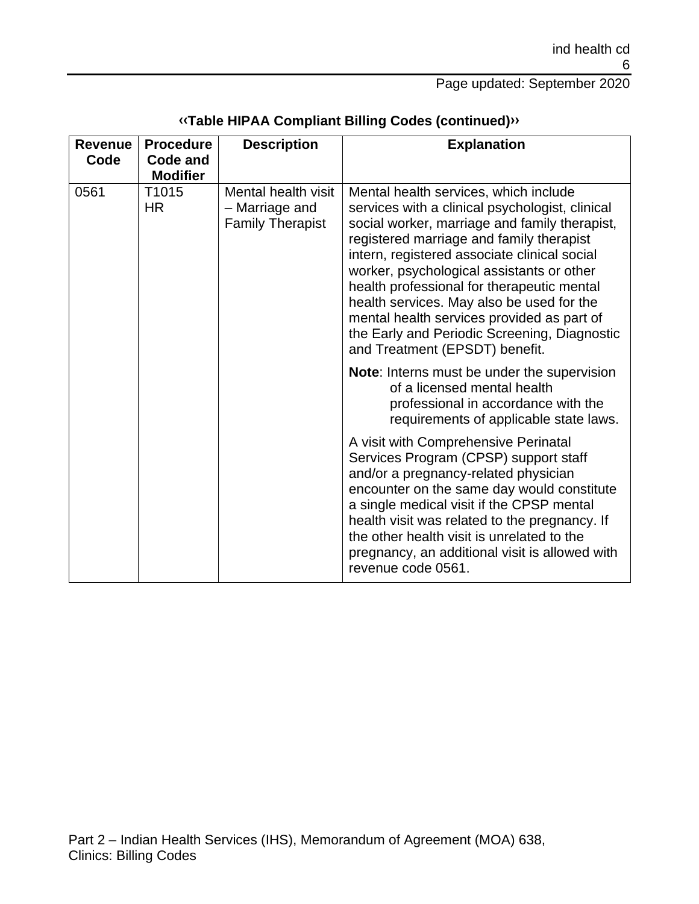| <b>Revenue</b><br>Code | <b>Procedure</b><br><b>Code and</b><br><b>Modifier</b> | <b>Description</b>                                               | <b>Explanation</b>                                                                                                                                                                                                                                                                                                                                                                                                                                                                                            |
|------------------------|--------------------------------------------------------|------------------------------------------------------------------|---------------------------------------------------------------------------------------------------------------------------------------------------------------------------------------------------------------------------------------------------------------------------------------------------------------------------------------------------------------------------------------------------------------------------------------------------------------------------------------------------------------|
| 0561                   | T1015<br><b>HR</b>                                     | Mental health visit<br>- Marriage and<br><b>Family Therapist</b> | Mental health services, which include<br>services with a clinical psychologist, clinical<br>social worker, marriage and family therapist,<br>registered marriage and family therapist<br>intern, registered associate clinical social<br>worker, psychological assistants or other<br>health professional for therapeutic mental<br>health services. May also be used for the<br>mental health services provided as part of<br>the Early and Periodic Screening, Diagnostic<br>and Treatment (EPSDT) benefit. |
|                        |                                                        |                                                                  | <b>Note:</b> Interns must be under the supervision<br>of a licensed mental health<br>professional in accordance with the<br>requirements of applicable state laws.                                                                                                                                                                                                                                                                                                                                            |
|                        |                                                        |                                                                  | A visit with Comprehensive Perinatal<br>Services Program (CPSP) support staff<br>and/or a pregnancy-related physician<br>encounter on the same day would constitute<br>a single medical visit if the CPSP mental<br>health visit was related to the pregnancy. If<br>the other health visit is unrelated to the<br>pregnancy, an additional visit is allowed with<br>revenue code 0561.                                                                                                                       |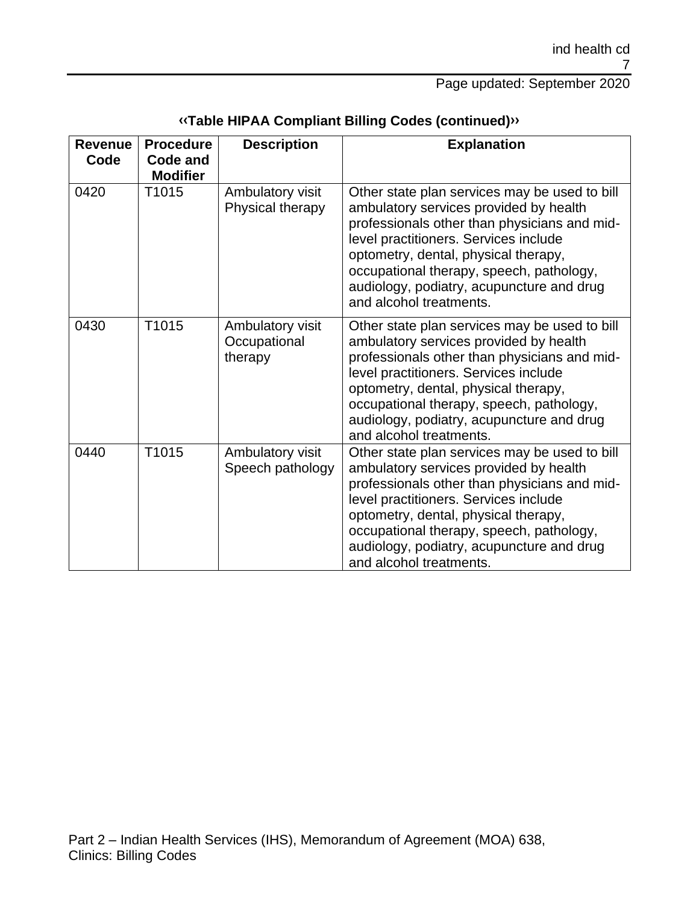| <b>Revenue</b><br>Code | <b>Procedure</b><br>Code and<br><b>Modifier</b> | <b>Description</b>                          | <b>Explanation</b>                                                                                                                                                                                                                                                                                                                           |
|------------------------|-------------------------------------------------|---------------------------------------------|----------------------------------------------------------------------------------------------------------------------------------------------------------------------------------------------------------------------------------------------------------------------------------------------------------------------------------------------|
| 0420                   | T1015                                           | Ambulatory visit<br>Physical therapy        | Other state plan services may be used to bill<br>ambulatory services provided by health<br>professionals other than physicians and mid-<br>level practitioners. Services include<br>optometry, dental, physical therapy,<br>occupational therapy, speech, pathology,<br>audiology, podiatry, acupuncture and drug<br>and alcohol treatments. |
| 0430                   | T1015                                           | Ambulatory visit<br>Occupational<br>therapy | Other state plan services may be used to bill<br>ambulatory services provided by health<br>professionals other than physicians and mid-<br>level practitioners. Services include<br>optometry, dental, physical therapy,<br>occupational therapy, speech, pathology,<br>audiology, podiatry, acupuncture and drug<br>and alcohol treatments. |
| 0440                   | T1015                                           | Ambulatory visit<br>Speech pathology        | Other state plan services may be used to bill<br>ambulatory services provided by health<br>professionals other than physicians and mid-<br>level practitioners. Services include<br>optometry, dental, physical therapy,<br>occupational therapy, speech, pathology,<br>audiology, podiatry, acupuncture and drug<br>and alcohol treatments. |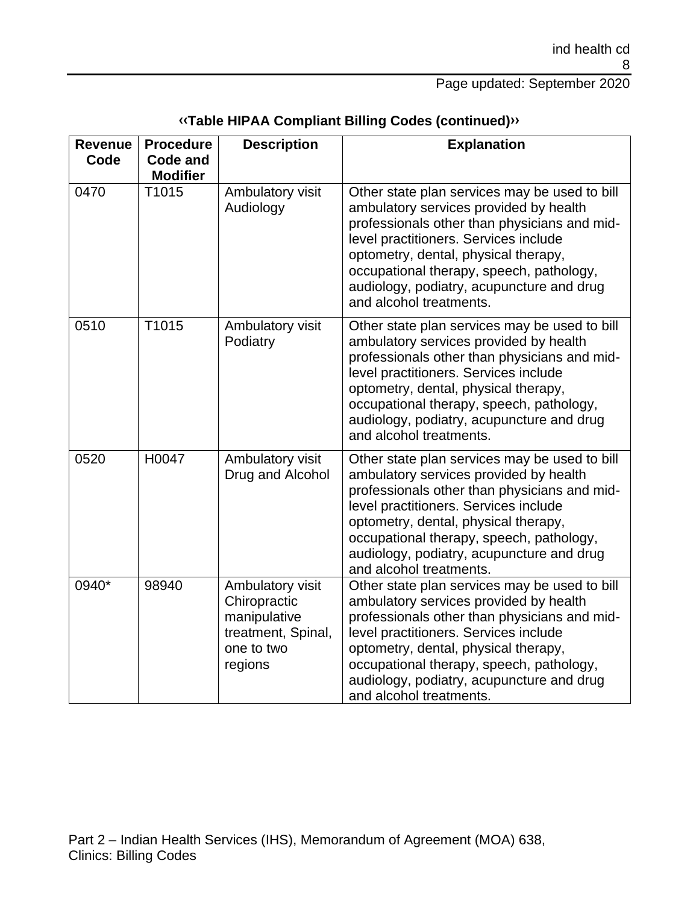| <b>Revenue</b><br>Code | <b>Procedure</b><br><b>Code and</b> | <b>Description</b>                                                                              | <b>Explanation</b>                                                                                                                                                                                                                                                                                                                           |
|------------------------|-------------------------------------|-------------------------------------------------------------------------------------------------|----------------------------------------------------------------------------------------------------------------------------------------------------------------------------------------------------------------------------------------------------------------------------------------------------------------------------------------------|
|                        | <b>Modifier</b>                     |                                                                                                 |                                                                                                                                                                                                                                                                                                                                              |
| 0470                   | T1015                               | Ambulatory visit<br>Audiology                                                                   | Other state plan services may be used to bill<br>ambulatory services provided by health<br>professionals other than physicians and mid-<br>level practitioners. Services include<br>optometry, dental, physical therapy,<br>occupational therapy, speech, pathology,<br>audiology, podiatry, acupuncture and drug<br>and alcohol treatments. |
| 0510                   | T1015                               | Ambulatory visit<br>Podiatry                                                                    | Other state plan services may be used to bill<br>ambulatory services provided by health<br>professionals other than physicians and mid-<br>level practitioners. Services include<br>optometry, dental, physical therapy,<br>occupational therapy, speech, pathology,<br>audiology, podiatry, acupuncture and drug<br>and alcohol treatments. |
| 0520                   | H0047                               | Ambulatory visit<br>Drug and Alcohol                                                            | Other state plan services may be used to bill<br>ambulatory services provided by health<br>professionals other than physicians and mid-<br>level practitioners. Services include<br>optometry, dental, physical therapy,<br>occupational therapy, speech, pathology,<br>audiology, podiatry, acupuncture and drug<br>and alcohol treatments. |
| 0940*                  | 98940                               | Ambulatory visit<br>Chiropractic<br>manipulative<br>treatment, Spinal,<br>one to two<br>regions | Other state plan services may be used to bill<br>ambulatory services provided by health<br>professionals other than physicians and mid-<br>level practitioners. Services include<br>optometry, dental, physical therapy,<br>occupational therapy, speech, pathology,<br>audiology, podiatry, acupuncture and drug<br>and alcohol treatments. |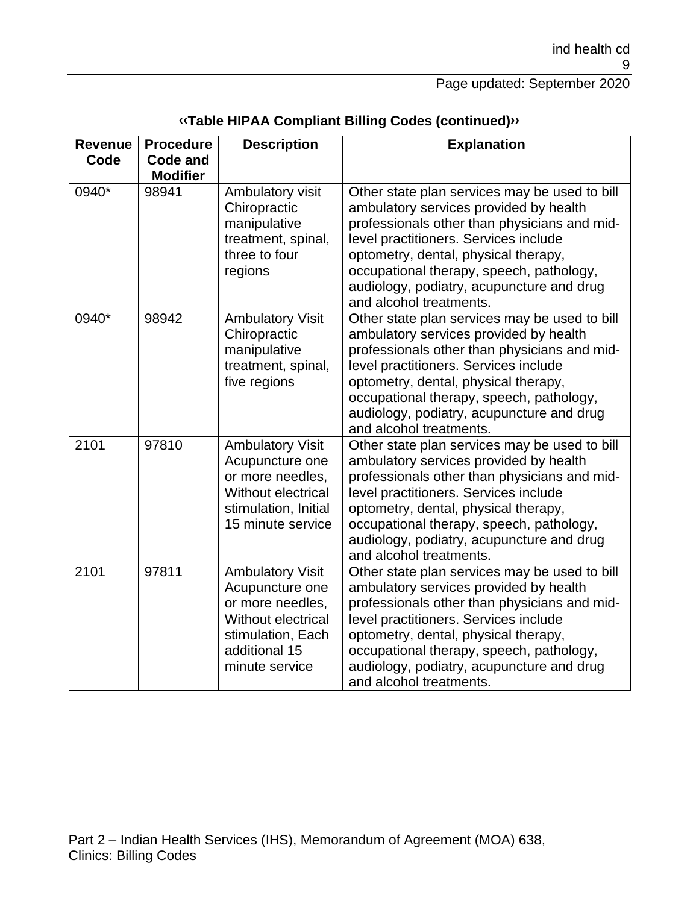| Revenue<br>Code | <b>Procedure</b><br>Code and | <b>Description</b>                                                                                                                           | <b>Explanation</b>                                                                                                                                                                                                                                                                                                                           |
|-----------------|------------------------------|----------------------------------------------------------------------------------------------------------------------------------------------|----------------------------------------------------------------------------------------------------------------------------------------------------------------------------------------------------------------------------------------------------------------------------------------------------------------------------------------------|
|                 | <b>Modifier</b>              |                                                                                                                                              |                                                                                                                                                                                                                                                                                                                                              |
| 0940*           | 98941                        | Ambulatory visit<br>Chiropractic<br>manipulative<br>treatment, spinal,<br>three to four<br>regions                                           | Other state plan services may be used to bill<br>ambulatory services provided by health<br>professionals other than physicians and mid-<br>level practitioners. Services include<br>optometry, dental, physical therapy,<br>occupational therapy, speech, pathology,<br>audiology, podiatry, acupuncture and drug<br>and alcohol treatments. |
| 0940*           | 98942                        | <b>Ambulatory Visit</b><br>Chiropractic<br>manipulative<br>treatment, spinal,<br>five regions                                                | Other state plan services may be used to bill<br>ambulatory services provided by health<br>professionals other than physicians and mid-<br>level practitioners. Services include<br>optometry, dental, physical therapy,<br>occupational therapy, speech, pathology,<br>audiology, podiatry, acupuncture and drug<br>and alcohol treatments. |
| 2101            | 97810                        | <b>Ambulatory Visit</b><br>Acupuncture one<br>or more needles,<br>Without electrical<br>stimulation, Initial<br>15 minute service            | Other state plan services may be used to bill<br>ambulatory services provided by health<br>professionals other than physicians and mid-<br>level practitioners. Services include<br>optometry, dental, physical therapy,<br>occupational therapy, speech, pathology,<br>audiology, podiatry, acupuncture and drug<br>and alcohol treatments. |
| 2101            | 97811                        | <b>Ambulatory Visit</b><br>Acupuncture one<br>or more needles,<br>Without electrical<br>stimulation, Each<br>additional 15<br>minute service | Other state plan services may be used to bill<br>ambulatory services provided by health<br>professionals other than physicians and mid-<br>level practitioners. Services include<br>optometry, dental, physical therapy,<br>occupational therapy, speech, pathology,<br>audiology, podiatry, acupuncture and drug<br>and alcohol treatments. |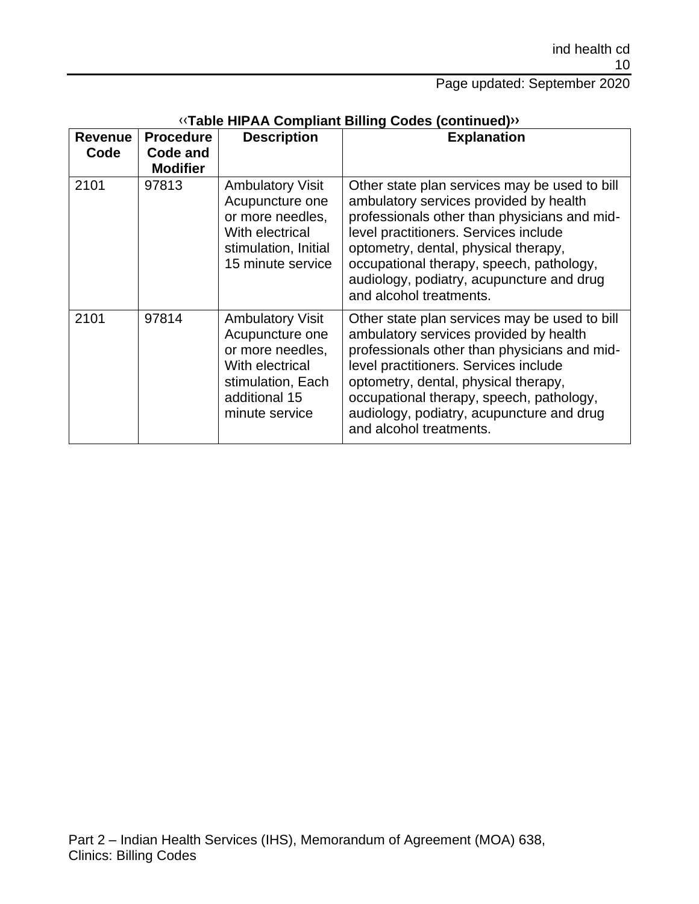| <b>Revenue</b><br>Code | <b>Procedure</b><br>Code and<br><b>Modifier</b> | <b>Description</b>                                                                                                                        | <b>Explanation</b>                                                                                                                                                                                                                                                                                                                           |
|------------------------|-------------------------------------------------|-------------------------------------------------------------------------------------------------------------------------------------------|----------------------------------------------------------------------------------------------------------------------------------------------------------------------------------------------------------------------------------------------------------------------------------------------------------------------------------------------|
| 2101                   | 97813                                           | <b>Ambulatory Visit</b><br>Acupuncture one<br>or more needles,<br>With electrical<br>stimulation, Initial<br>15 minute service            | Other state plan services may be used to bill<br>ambulatory services provided by health<br>professionals other than physicians and mid-<br>level practitioners. Services include<br>optometry, dental, physical therapy,<br>occupational therapy, speech, pathology,<br>audiology, podiatry, acupuncture and drug<br>and alcohol treatments. |
| 2101                   | 97814                                           | <b>Ambulatory Visit</b><br>Acupuncture one<br>or more needles,<br>With electrical<br>stimulation, Each<br>additional 15<br>minute service | Other state plan services may be used to bill<br>ambulatory services provided by health<br>professionals other than physicians and mid-<br>level practitioners. Services include<br>optometry, dental, physical therapy,<br>occupational therapy, speech, pathology,<br>audiology, podiatry, acupuncture and drug<br>and alcohol treatments. |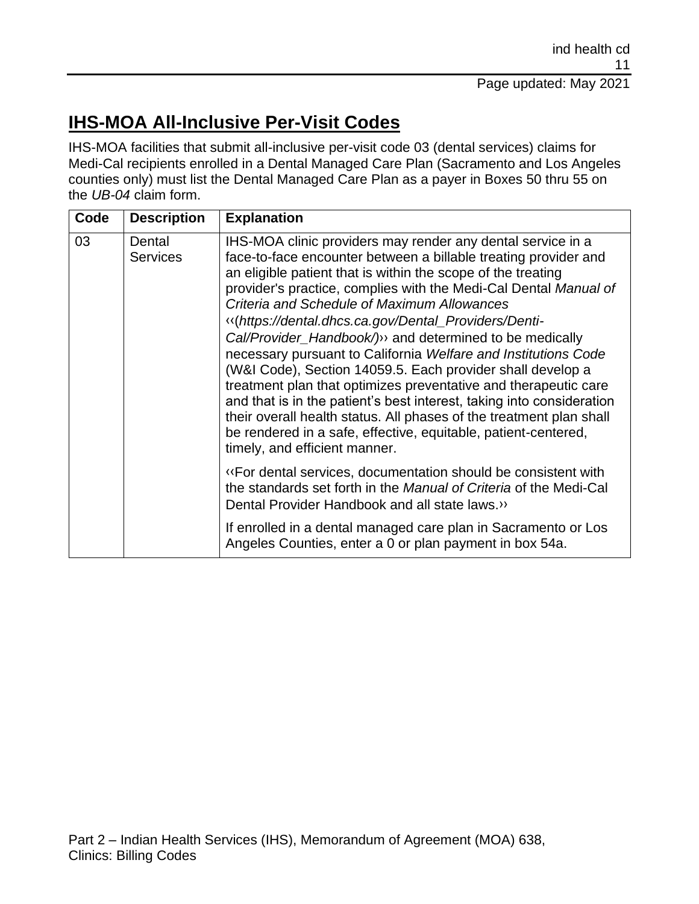# **IHS-MOA All-Inclusive Per-Visit Codes**

IHS-MOA facilities that submit all-inclusive per-visit code 03 (dental services) claims for Medi-Cal recipients enrolled in a Dental Managed Care Plan (Sacramento and Los Angeles counties only) must list the Dental Managed Care Plan as a payer in Boxes 50 thru 55 on the *UB-04* claim form.

| Code | <b>Description</b>        | <b>Explanation</b>                                                                                                                                                                                                                                                                                                                                                                                                                                                                                                                                                                                                                                                                                                                                                                                                                                                                               |
|------|---------------------------|--------------------------------------------------------------------------------------------------------------------------------------------------------------------------------------------------------------------------------------------------------------------------------------------------------------------------------------------------------------------------------------------------------------------------------------------------------------------------------------------------------------------------------------------------------------------------------------------------------------------------------------------------------------------------------------------------------------------------------------------------------------------------------------------------------------------------------------------------------------------------------------------------|
| 03   | Dental<br><b>Services</b> | IHS-MOA clinic providers may render any dental service in a<br>face-to-face encounter between a billable treating provider and<br>an eligible patient that is within the scope of the treating<br>provider's practice, complies with the Medi-Cal Dental Manual of<br><b>Criteria and Schedule of Maximum Allowances</b><br>«(https://dental.dhcs.ca.gov/Dental_Providers/Denti-<br>Cal/Provider_Handbook/) and determined to be medically<br>necessary pursuant to California Welfare and Institutions Code<br>(W&I Code), Section 14059.5. Each provider shall develop a<br>treatment plan that optimizes preventative and therapeutic care<br>and that is in the patient's best interest, taking into consideration<br>their overall health status. All phases of the treatment plan shall<br>be rendered in a safe, effective, equitable, patient-centered,<br>timely, and efficient manner. |
|      |                           | <b>«For dental services, documentation should be consistent with</b><br>the standards set forth in the Manual of Criteria of the Medi-Cal<br>Dental Provider Handbook and all state laws.»                                                                                                                                                                                                                                                                                                                                                                                                                                                                                                                                                                                                                                                                                                       |
|      |                           | If enrolled in a dental managed care plan in Sacramento or Los<br>Angeles Counties, enter a 0 or plan payment in box 54a.                                                                                                                                                                                                                                                                                                                                                                                                                                                                                                                                                                                                                                                                                                                                                                        |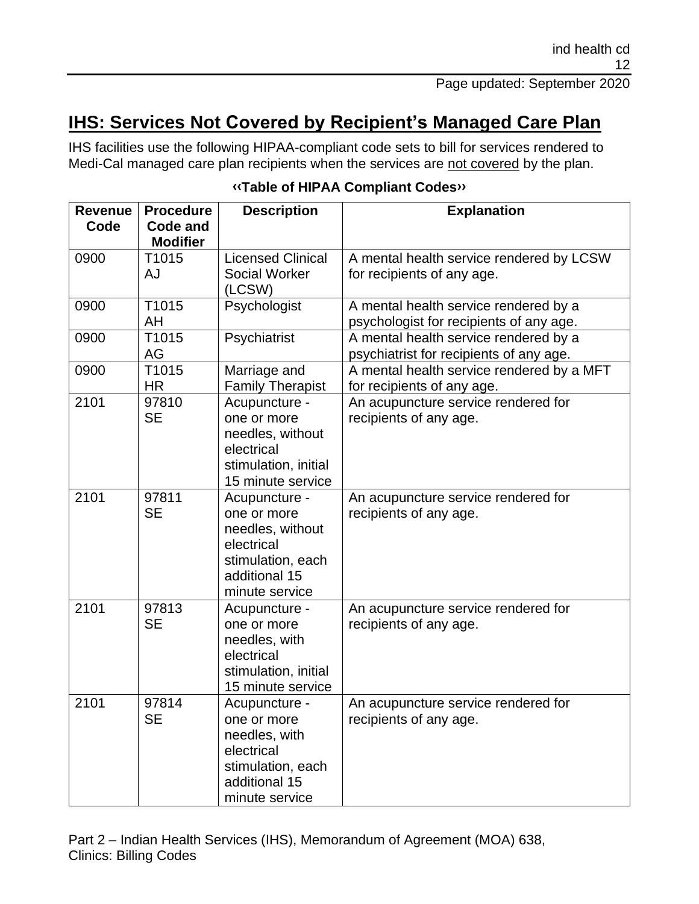# **IHS: Services Not Covered by Recipient's Managed Care Plan**

IHS facilities use the following HIPAA-compliant code sets to bill for services rendered to Medi-Cal managed care plan recipients when the services are not covered by the plan.

| <b>Revenue</b><br>Code | <b>Procedure</b><br><b>Code and</b> | <b>Description</b>                                                                                                     | <b>Explanation</b>                                                               |
|------------------------|-------------------------------------|------------------------------------------------------------------------------------------------------------------------|----------------------------------------------------------------------------------|
|                        | <b>Modifier</b>                     |                                                                                                                        |                                                                                  |
| 0900                   | T1015                               | <b>Licensed Clinical</b>                                                                                               | A mental health service rendered by LCSW                                         |
|                        | AJ                                  | <b>Social Worker</b><br>(LCSW)                                                                                         | for recipients of any age.                                                       |
| 0900                   | T1015<br>AH                         | Psychologist                                                                                                           | A mental health service rendered by a<br>psychologist for recipients of any age. |
| 0900                   | T1015<br>AG                         | Psychiatrist                                                                                                           | A mental health service rendered by a<br>psychiatrist for recipients of any age. |
| 0900                   | T1015<br><b>HR</b>                  | Marriage and<br>Family Therapist                                                                                       | A mental health service rendered by a MFT<br>for recipients of any age.          |
| 2101                   | 97810<br><b>SE</b>                  | Acupuncture -<br>one or more<br>needles, without<br>electrical<br>stimulation, initial<br>15 minute service            | An acupuncture service rendered for<br>recipients of any age.                    |
| 2101                   | 97811<br><b>SE</b>                  | Acupuncture -<br>one or more<br>needles, without<br>electrical<br>stimulation, each<br>additional 15<br>minute service | An acupuncture service rendered for<br>recipients of any age.                    |
| 2101                   | 97813<br><b>SE</b>                  | Acupuncture -<br>one or more<br>needles, with<br>electrical<br>stimulation, initial<br>15 minute service               | An acupuncture service rendered for<br>recipients of any age.                    |
| 2101                   | 97814<br><b>SE</b>                  | Acupuncture -<br>one or more<br>needles, with<br>electrical<br>stimulation, each<br>additional 15<br>minute service    | An acupuncture service rendered for<br>recipients of any age.                    |

#### **[‹‹T](#page-15-0)able of HIPAA Compliant Code[s››](#page-15-1)**

Part 2 – Indian Health Services (IHS), Memorandum of Agreement (MOA) 638, Clinics: Billing Codes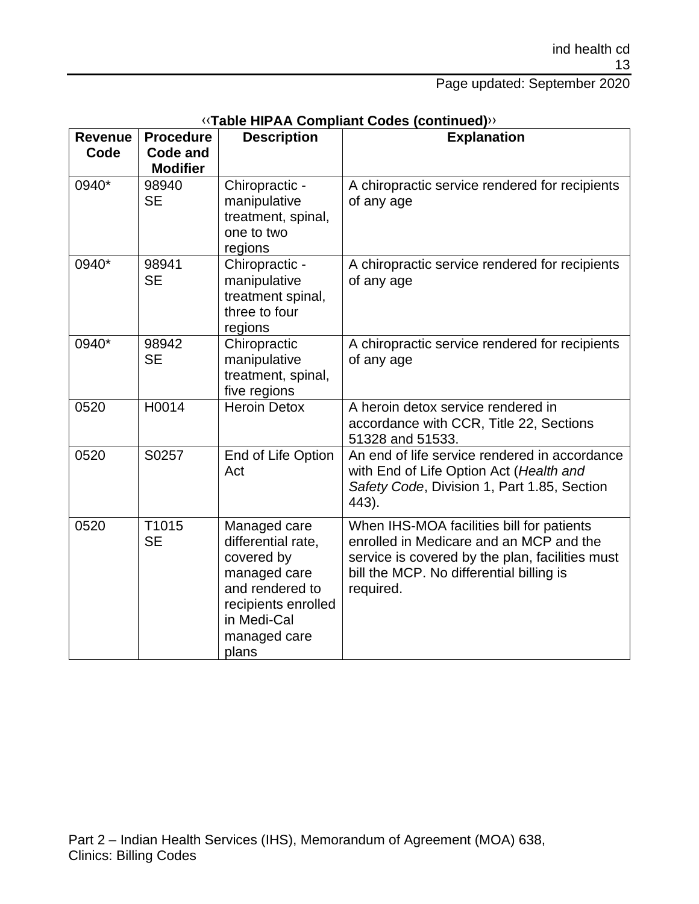| <b>Revenue</b><br>Code | <b>Procedure</b><br><b>Code and</b><br><b>Modifier</b> | <b>Description</b>                                                                                                                                 | <b>Explanation</b>                                                                                                                                                                               |
|------------------------|--------------------------------------------------------|----------------------------------------------------------------------------------------------------------------------------------------------------|--------------------------------------------------------------------------------------------------------------------------------------------------------------------------------------------------|
| 0940*                  | 98940<br><b>SE</b>                                     | Chiropractic -<br>manipulative<br>treatment, spinal,<br>one to two<br>regions                                                                      | A chiropractic service rendered for recipients<br>of any age                                                                                                                                     |
| 0940*                  | 98941<br><b>SE</b>                                     | Chiropractic -<br>manipulative<br>treatment spinal,<br>three to four<br>regions                                                                    | A chiropractic service rendered for recipients<br>of any age                                                                                                                                     |
| 0940*                  | 98942<br><b>SE</b>                                     | Chiropractic<br>manipulative<br>treatment, spinal,<br>five regions                                                                                 | A chiropractic service rendered for recipients<br>of any age                                                                                                                                     |
| 0520                   | H0014                                                  | <b>Heroin Detox</b>                                                                                                                                | A heroin detox service rendered in<br>accordance with CCR, Title 22, Sections<br>51328 and 51533.                                                                                                |
| 0520                   | S0257                                                  | End of Life Option<br>Act                                                                                                                          | An end of life service rendered in accordance<br>with End of Life Option Act (Health and<br>Safety Code, Division 1, Part 1.85, Section<br>443).                                                 |
| 0520                   | T1015<br><b>SE</b>                                     | Managed care<br>differential rate,<br>covered by<br>managed care<br>and rendered to<br>recipients enrolled<br>in Medi-Cal<br>managed care<br>plans | When IHS-MOA facilities bill for patients<br>enrolled in Medicare and an MCP and the<br>service is covered by the plan, facilities must<br>bill the MCP. No differential billing is<br>required. |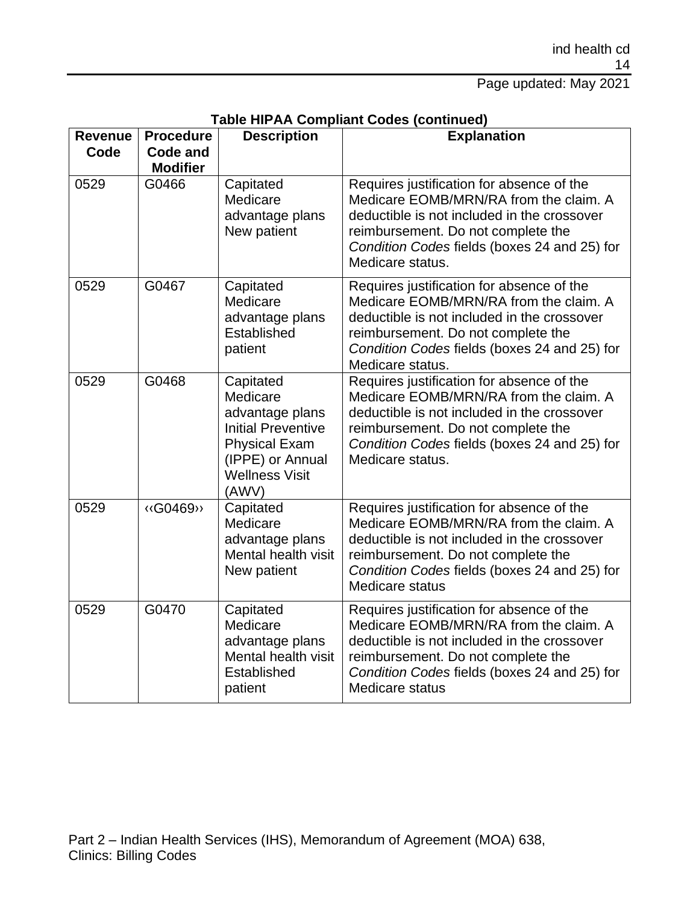#### Page updated: May 2021

| <b>Revenue</b><br>Code | <b>Procedure</b><br><b>Code and</b><br><b>Modifier</b> | <b>Description</b>                                                                                                                                  | <b>Explanation</b>                                                                                                                                                                                                                           |
|------------------------|--------------------------------------------------------|-----------------------------------------------------------------------------------------------------------------------------------------------------|----------------------------------------------------------------------------------------------------------------------------------------------------------------------------------------------------------------------------------------------|
| 0529                   | G0466                                                  | Capitated<br>Medicare<br>advantage plans<br>New patient                                                                                             | Requires justification for absence of the<br>Medicare EOMB/MRN/RA from the claim. A<br>deductible is not included in the crossover<br>reimbursement. Do not complete the<br>Condition Codes fields (boxes 24 and 25) for<br>Medicare status. |
| 0529                   | G0467                                                  | Capitated<br>Medicare<br>advantage plans<br>Established<br>patient                                                                                  | Requires justification for absence of the<br>Medicare EOMB/MRN/RA from the claim. A<br>deductible is not included in the crossover<br>reimbursement. Do not complete the<br>Condition Codes fields (boxes 24 and 25) for<br>Medicare status. |
| 0529                   | G0468                                                  | Capitated<br>Medicare<br>advantage plans<br><b>Initial Preventive</b><br><b>Physical Exam</b><br>(IPPE) or Annual<br><b>Wellness Visit</b><br>(AWV) | Requires justification for absence of the<br>Medicare EOMB/MRN/RA from the claim. A<br>deductible is not included in the crossover<br>reimbursement. Do not complete the<br>Condition Codes fields (boxes 24 and 25) for<br>Medicare status. |
| 0529                   | «G0469»                                                | Capitated<br>Medicare<br>advantage plans<br>Mental health visit<br>New patient                                                                      | Requires justification for absence of the<br>Medicare EOMB/MRN/RA from the claim. A<br>deductible is not included in the crossover<br>reimbursement. Do not complete the<br>Condition Codes fields (boxes 24 and 25) for<br>Medicare status  |
| 0529                   | G0470                                                  | Capitated<br>Medicare<br>advantage plans<br>Mental health visit<br>Established<br>patient                                                           | Requires justification for absence of the<br>Medicare EOMB/MRN/RA from the claim. A<br>deductible is not included in the crossover<br>reimbursement. Do not complete the<br>Condition Codes fields (boxes 24 and 25) for<br>Medicare status  |

#### **Table HIPAA Compliant Codes (continued)**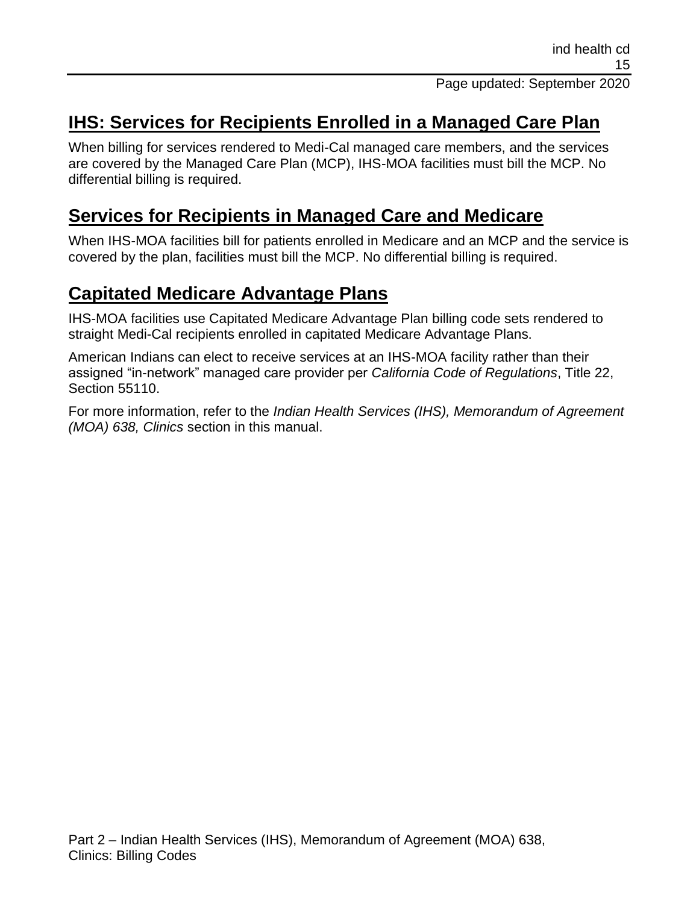## **IHS: Services for Recipients Enrolled in a Managed Care Plan**

When billing for services rendered to Medi-Cal managed care members, and the services are covered by the Managed Care Plan (MCP), IHS-MOA facilities must bill the MCP. No differential billing is required.

## **Services for Recipients in Managed Care and Medicare**

When IHS-MOA facilities bill for patients enrolled in Medicare and an MCP and the service is covered by the plan, facilities must bill the MCP. No differential billing is required.

## **Capitated Medicare Advantage Plans**

IHS-MOA facilities use Capitated Medicare Advantage Plan billing code sets rendered to straight Medi-Cal recipients enrolled in capitated Medicare Advantage Plans.

American Indians can elect to receive services at an IHS-MOA facility rather than their assigned "in-network" managed care provider per *California Code of Regulations*, Title 22, Section 55110.

For more information, refer to the *Indian Health Services (IHS), Memorandum of Agreement (MOA) 638, Clinics* section in this manual.